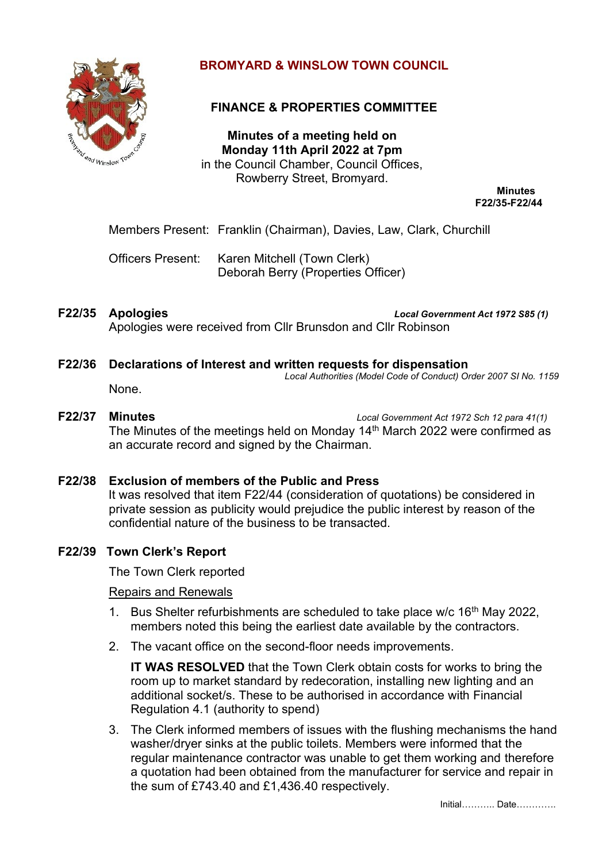

# **BROMYARD & WINSLOW TOWN COUNCIL**

# **FINANCE & PROPERTIES COMMITTEE**

**Minutes of a meeting held on Monday 11th April 2022 at 7pm** in the Council Chamber, Council Offices, Rowberry Street, Bromyard.

**Minutes F22/35-F22/44**

Members Present: Franklin (Chairman), Davies, Law, Clark, Churchill

Officers Present: Karen Mitchell (Town Clerk) Deborah Berry (Properties Officer)

**F22/35 Apologies** *Local Government Act 1972 S85 (1)* Apologies were received from Cllr Brunsdon and Cllr Robinson

### **F22/36 Declarations of Interest and written requests for dispensation**

*Local Authorities (Model Code of Conduct) Order 2007 SI No. 1159*

### None.

# **F22/37 Minutes** *Local Government Act 1972 Sch 12 para 41(1)* The Minutes of the meetings held on Monday 14<sup>th</sup> March 2022 were confirmed as an accurate record and signed by the Chairman.

# **F22/38 Exclusion of members of the Public and Press**

It was resolved that item F22/44 (consideration of quotations) be considered in private session as publicity would prejudice the public interest by reason of the confidential nature of the business to be transacted.

# **F22/39 Town Clerk's Report**

The Town Clerk reported

#### Repairs and Renewals

- 1. Bus Shelter refurbishments are scheduled to take place w/c  $16<sup>th</sup>$  May 2022, members noted this being the earliest date available by the contractors.
- 2. The vacant office on the second-floor needs improvements.

**IT WAS RESOLVED** that the Town Clerk obtain costs for works to bring the room up to market standard by redecoration, installing new lighting and an additional socket/s. These to be authorised in accordance with Financial Regulation 4.1 (authority to spend)

3. The Clerk informed members of issues with the flushing mechanisms the hand washer/dryer sinks at the public toilets. Members were informed that the regular maintenance contractor was unable to get them working and therefore a quotation had been obtained from the manufacturer for service and repair in the sum of £743.40 and £1,436.40 respectively.

Initial……….. Date………….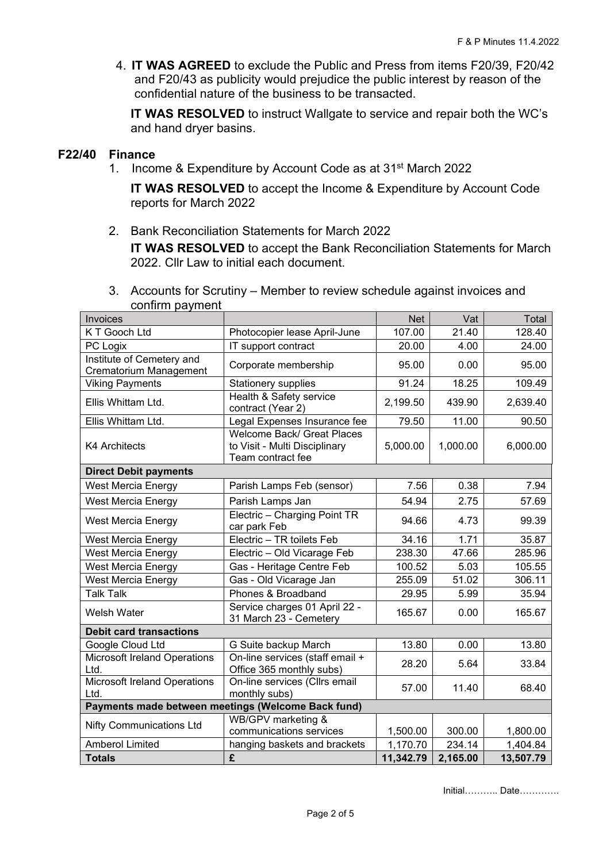4. **IT WAS AGREED** to exclude the Public and Press from items F20/39, F20/42 and F20/43 as publicity would prejudice the public interest by reason of the confidential nature of the business to be transacted.

**IT WAS RESOLVED** to instruct Wallgate to service and repair both the WC's and hand dryer basins.

# **F22/40 Finance**

1. Income & Expenditure by Account Code as at 31st March 2022

**IT WAS RESOLVED** to accept the Income & Expenditure by Account Code reports for March 2022

2. Bank Reconciliation Statements for March 2022 **IT WAS RESOLVED** to accept the Bank Reconciliation Statements for March 2022. Cllr Law to initial each document.

| <b>COMMUNITY PRINTING PR</b>                               |                                                                                  |            |          |           |
|------------------------------------------------------------|----------------------------------------------------------------------------------|------------|----------|-----------|
| Invoices                                                   |                                                                                  | <b>Net</b> | Vat      | Total     |
| K T Gooch Ltd                                              | Photocopier lease April-June                                                     | 107.00     | 21.40    | 128.40    |
| PC Logix                                                   | IT support contract                                                              | 20.00      | 4.00     | 24.00     |
| Institute of Cemetery and<br><b>Crematorium Management</b> | Corporate membership                                                             | 95.00      | 0.00     | 95.00     |
| <b>Viking Payments</b>                                     | <b>Stationery supplies</b>                                                       | 91.24      | 18.25    | 109.49    |
| Ellis Whittam Ltd.                                         | Health & Safety service<br>contract (Year 2)                                     | 2,199.50   | 439.90   | 2,639.40  |
| Ellis Whittam Ltd.                                         | Legal Expenses Insurance fee                                                     | 79.50      | 11.00    | 90.50     |
| <b>K4 Architects</b>                                       | Welcome Back/ Great Places<br>to Visit - Multi Disciplinary<br>Team contract fee | 5,000.00   | 1,000.00 | 6,000.00  |
| <b>Direct Debit payments</b>                               |                                                                                  |            |          |           |
| West Mercia Energy                                         | Parish Lamps Feb (sensor)                                                        | 7.56       | 0.38     | 7.94      |
| West Mercia Energy                                         | Parish Lamps Jan                                                                 | 54.94      | 2.75     | 57.69     |
| West Mercia Energy                                         | Electric - Charging Point TR<br>car park Feb                                     | 94.66      | 4.73     | 99.39     |
| <b>West Mercia Energy</b>                                  | Electric - TR toilets Feb                                                        | 34.16      | 1.71     | 35.87     |
| West Mercia Energy                                         | Electric - Old Vicarage Feb                                                      | 238.30     | 47.66    | 285.96    |
| West Mercia Energy                                         | Gas - Heritage Centre Feb                                                        | 100.52     | 5.03     | 105.55    |
| West Mercia Energy                                         | Gas - Old Vicarage Jan                                                           | 255.09     | 51.02    | 306.11    |
| <b>Talk Talk</b>                                           | Phones & Broadband                                                               | 29.95      | 5.99     | 35.94     |
| Welsh Water                                                | Service charges 01 April 22 -<br>31 March 23 - Cemetery                          | 165.67     | 0.00     | 165.67    |
| <b>Debit card transactions</b>                             |                                                                                  |            |          |           |
| Google Cloud Ltd                                           | G Suite backup March                                                             | 13.80      | 0.00     | 13.80     |
| <b>Microsoft Ireland Operations</b><br>Ltd.                | On-line services (staff email +<br>Office 365 monthly subs)                      | 28.20      | 5.64     | 33.84     |
| <b>Microsoft Ireland Operations</b>                        | On-line services (Cllrs email                                                    | 57.00      | 11.40    | 68.40     |
| Ltd.                                                       | monthly subs)                                                                    |            |          |           |
| Payments made between meetings (Welcome Back fund)         |                                                                                  |            |          |           |
| <b>Nifty Communications Ltd</b>                            | WB/GPV marketing &<br>communications services                                    | 1,500.00   | 300.00   | 1,800.00  |
| <b>Amberol Limited</b>                                     | hanging baskets and brackets                                                     | 1,170.70   | 234.14   | 1,404.84  |
| <b>Totals</b>                                              | £                                                                                | 11,342.79  | 2,165.00 | 13,507.79 |

3. Accounts for Scrutiny – Member to review schedule against invoices and confirm payment

Initial……….. Date………….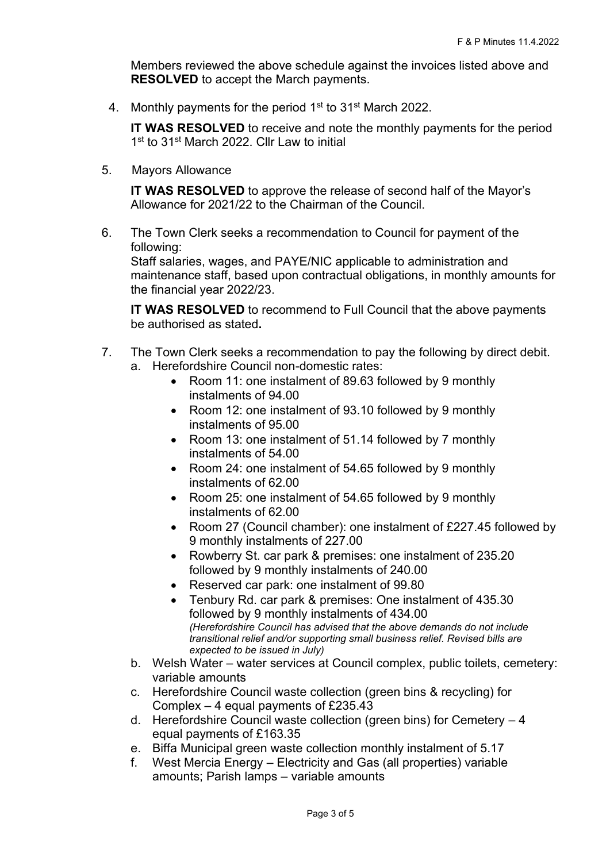Members reviewed the above schedule against the invoices listed above and **RESOLVED** to accept the March payments.

4. Monthly payments for the period 1<sup>st</sup> to 31<sup>st</sup> March 2022.

**IT WAS RESOLVED** to receive and note the monthly payments for the period 1<sup>st</sup> to 31<sup>st</sup> March 2022. Cllr Law to initial

5. Mayors Allowance

**IT WAS RESOLVED** to approve the release of second half of the Mayor's Allowance for 2021/22 to the Chairman of the Council.

6. The Town Clerk seeks a recommendation to Council for payment of the following:

Staff salaries, wages, and PAYE/NIC applicable to administration and maintenance staff, based upon contractual obligations, in monthly amounts for the financial year 2022/23.

**IT WAS RESOLVED** to recommend to Full Council that the above payments be authorised as stated**.**

- 7. The Town Clerk seeks a recommendation to pay the following by direct debit.
	- a. Herefordshire Council non-domestic rates:
		- Room 11: one instalment of 89.63 followed by 9 monthly instalments of 94.00
		- Room 12: one instalment of 93.10 followed by 9 monthly instalments of 95.00
		- Room 13: one instalment of 51.14 followed by 7 monthly instalments of 54.00
		- Room 24: one instalment of 54.65 followed by 9 monthly instalments of 62.00
		- Room 25: one instalment of 54.65 followed by 9 monthly instalments of 62.00
		- Room 27 (Council chamber): one instalment of £227.45 followed by 9 monthly instalments of 227.00
		- Rowberry St. car park & premises: one instalment of 235.20 followed by 9 monthly instalments of 240.00
		- Reserved car park: one instalment of 99.80
		- Tenbury Rd. car park & premises: One instalment of 435.30 followed by 9 monthly instalments of 434.00 *(Herefordshire Council has advised that the above demands do not include transitional relief and/or supporting small business relief. Revised bills are expected to be issued in July)*
	- b. Welsh Water water services at Council complex, public toilets, cemetery: variable amounts
	- c. Herefordshire Council waste collection (green bins & recycling) for Complex – 4 equal payments of £235.43
	- d. Herefordshire Council waste collection (green bins) for Cemetery 4 equal payments of £163.35
	- e. Biffa Municipal green waste collection monthly instalment of 5.17
	- f. West Mercia Energy Electricity and Gas (all properties) variable amounts; Parish lamps – variable amounts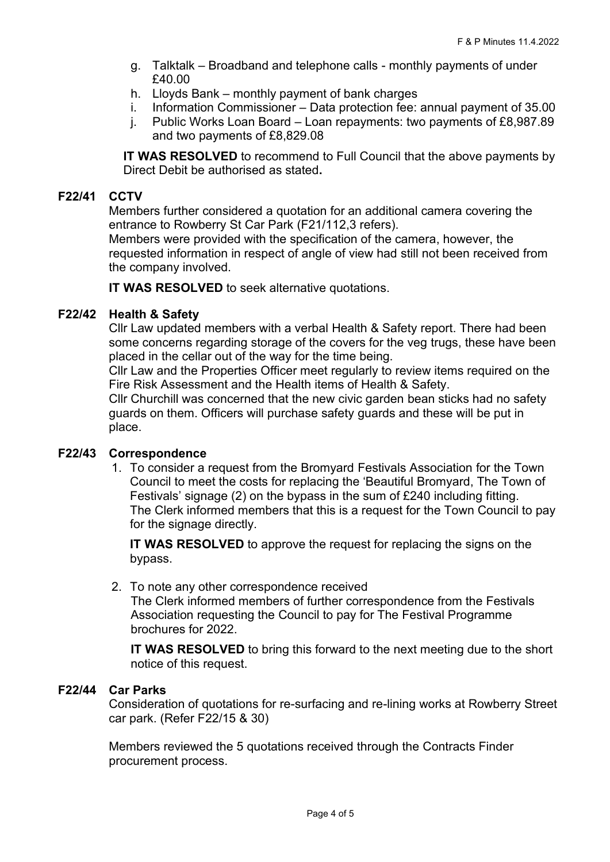- g. Talktalk Broadband and telephone calls monthly payments of under £40.00
- h. Lloyds Bank monthly payment of bank charges
- i. Information Commissioner Data protection fee: annual payment of 35.00
- j. Public Works Loan Board Loan repayments: two payments of £8,987.89 and two payments of £8,829.08

**IT WAS RESOLVED** to recommend to Full Council that the above payments by Direct Debit be authorised as stated**.**

# **F22/41 CCTV**

Members further considered a quotation for an additional camera covering the entrance to Rowberry St Car Park (F21/112,3 refers).

Members were provided with the specification of the camera, however, the requested information in respect of angle of view had still not been received from the company involved.

**IT WAS RESOLVED** to seek alternative quotations.

#### **F22/42 Health & Safety**

Cllr Law updated members with a verbal Health & Safety report. There had been some concerns regarding storage of the covers for the veg trugs, these have been placed in the cellar out of the way for the time being.

Cllr Law and the Properties Officer meet regularly to review items required on the Fire Risk Assessment and the Health items of Health & Safety.

Cllr Churchill was concerned that the new civic garden bean sticks had no safety guards on them. Officers will purchase safety guards and these will be put in place.

#### **F22/43 Correspondence**

1. To consider a request from the Bromyard Festivals Association for the Town Council to meet the costs for replacing the 'Beautiful Bromyard, The Town of Festivals' signage (2) on the bypass in the sum of £240 including fitting. The Clerk informed members that this is a request for the Town Council to pay for the signage directly.

**IT WAS RESOLVED** to approve the request for replacing the signs on the bypass.

2. To note any other correspondence received

The Clerk informed members of further correspondence from the Festivals Association requesting the Council to pay for The Festival Programme brochures for 2022.

**IT WAS RESOLVED** to bring this forward to the next meeting due to the short notice of this request.

#### **F22/44 Car Parks**

Consideration of quotations for re-surfacing and re-lining works at Rowberry Street car park. (Refer F22/15 & 30)

Members reviewed the 5 quotations received through the Contracts Finder procurement process.